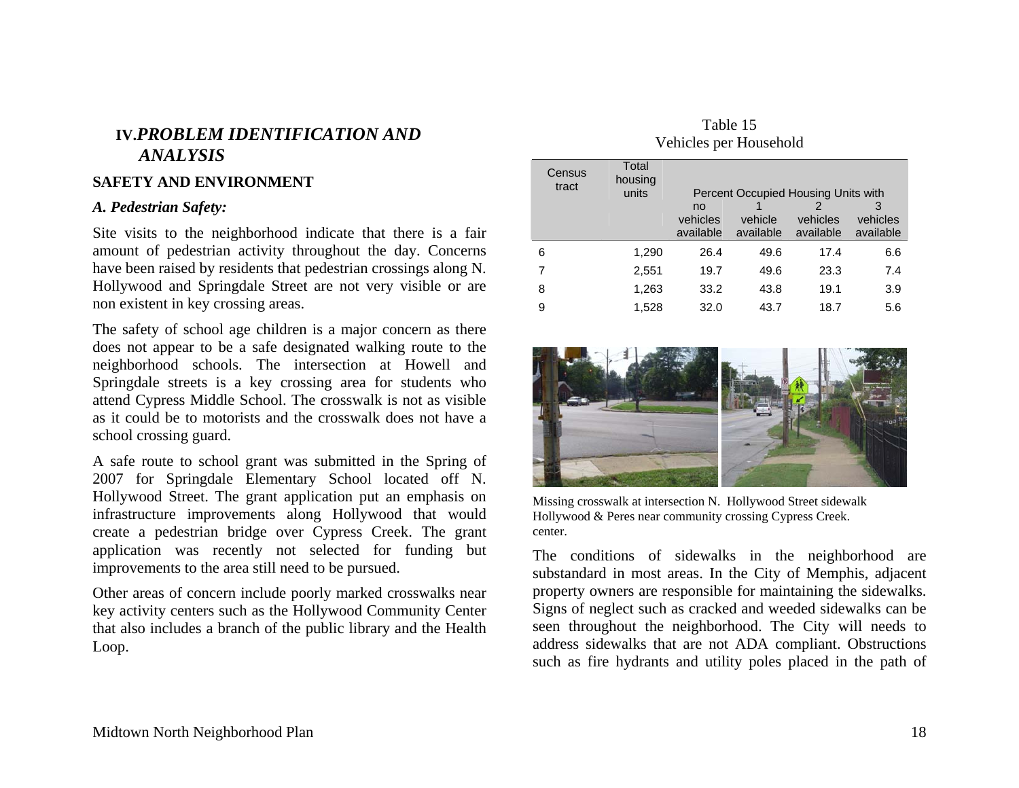## **IV.***PROBLEM IDENTIFICATION AND ANALYSIS*

### **SAFETY AND ENVIRONMENT**

### *A. Pedestrian Safety:*

Site visits to the neighborhood indicate that there is a fair amount of pedestrian activity throughout the day. Concerns have been raised by residents that pedestrian crossings along N. Hollywood and Springdale Street are not very visible or are non existent in key crossing areas.

The safety of school age children is a major concern as there does not appear to be a safe designated walking route to the neighborhood schools. The intersection at Howell and Springdale streets is a key crossing area for students who attend Cypress Middle School. The crosswalk is not as visible as it could be to motorists and the crosswalk does not have a school crossing guard.

A safe route to school grant was submitted in the Spring of 2007 for Springdale Elementary School located off N. Hollywood Street. The grant application put an emphasis on infrastructure improvements along Hollywood that would create a pedestrian bridge over Cypress Creek. The grant application was recently not selected for funding but improvements to the area still need to be pursued.

Other areas of concern include poorly marked crosswalks near key activity centers such as the Hollywood Community Center that also includes a branch of the public library and the Health Loop.

Table 15 Vehicles per Household

| Census<br>tract | Total<br>housing<br>units | Percent Occupied Housing Units with |                      |                       |                       |
|-----------------|---------------------------|-------------------------------------|----------------------|-----------------------|-----------------------|
|                 |                           | no                                  |                      | 2                     | 3                     |
|                 |                           | vehicles<br>available               | vehicle<br>available | vehicles<br>available | vehicles<br>available |
| 6               | 1,290                     | 26.4                                | 49.6                 | 17.4                  | 6.6                   |
| 7               | 2,551                     | 19.7                                | 49.6                 | 23.3                  | 7.4                   |
| 8               | 1,263                     | 33.2                                | 43.8                 | 19.1                  | 3.9                   |
| 9               | 1,528                     | 32.0                                | 43.7                 | 18.7                  | 5.6                   |



Missing crosswalk at intersection N. Hollywood Street sidewalk Hollywood & Peres near community crossing Cypress Creek. center.

The conditions of sidewalks in the neighborhood are substandard in most areas. In the City of Memphis, adjacent property owners are responsible for maintaining the sidewalks. Signs of neglect such as cracked and weeded sidewalks can be seen throughout the neighborhood. The City will needs to address sidewalks that are not ADA compliant. Obstructions such as fire hydrants and utility poles placed in the path of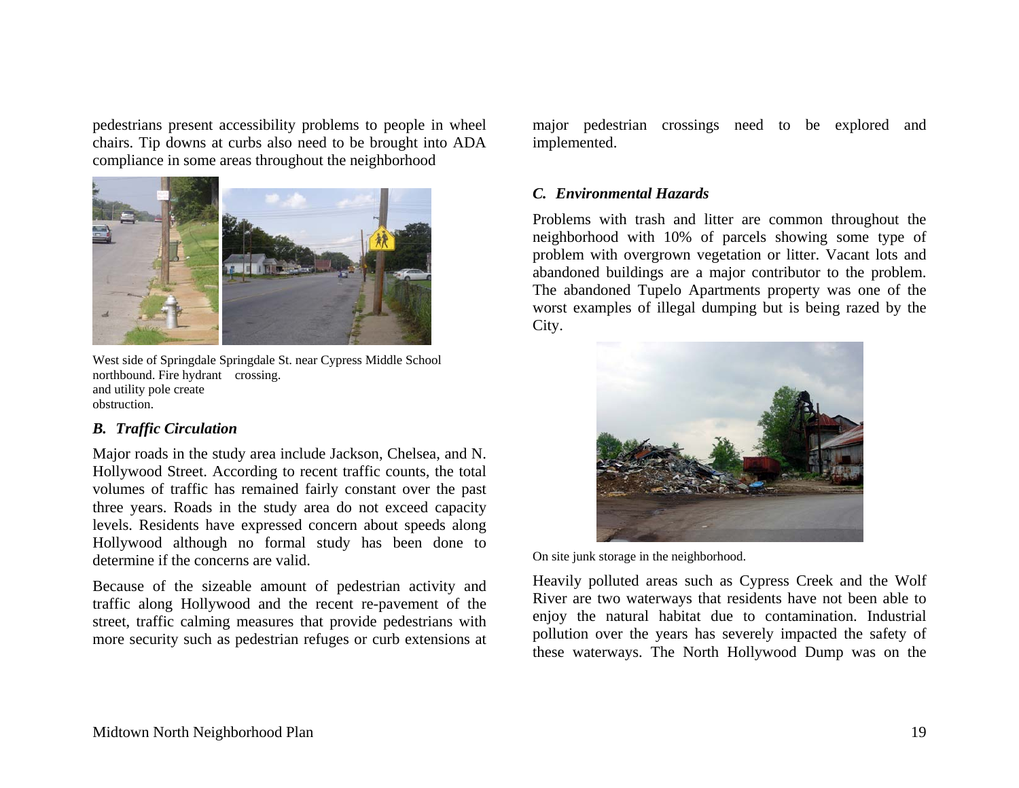pedestrians present accessibility problems to people in wheel chairs. Tip downs at curbs also need to be brought into ADA compliance in some areas throughout the neighborhood



West side of Springdale Springdale St. near Cypress Middle School northbound. Fire hydrant crossing. and utility pole create obstruction.

### *B. Traffic Circulation*

Major roads in the study area include Jackson, Chelsea, and N. Hollywood Street. According to recent traffic counts, the total volumes of traffic has remained fairly constant over the past three years. Roads in the study area do not exceed capacity levels. Residents have expressed concern about speeds along Hollywood although no formal study has been done to determine if the concerns are valid.

Because of the sizeable amount of pedestrian activity and traffic along Hollywood and the recent re-pavement of the street, traffic calming measures that provide pedestrians with more security such as pedestrian refuges or curb extensions at major pedestrian crossings need to be explored and implemented.

## *C. Environmental Hazards*

Problems with trash and litter are common throughout the neighborhood with 10% of parcels showing some type of problem with overgrown vegetation or litter. Vacant lots and abandoned buildings are a major contributor to the problem. The abandoned Tupelo Apartments property was one of the worst examples of illegal dumping but is being razed by the City.



On site junk storage in the neighborhood.

Heavily polluted areas such as Cypress Creek and the Wolf River are two waterways that residents have not been able to enjoy the natural habitat due to contamination. Industrial pollution over the years has severely impacted the safety of these waterways. The North Hollywood Dump was on the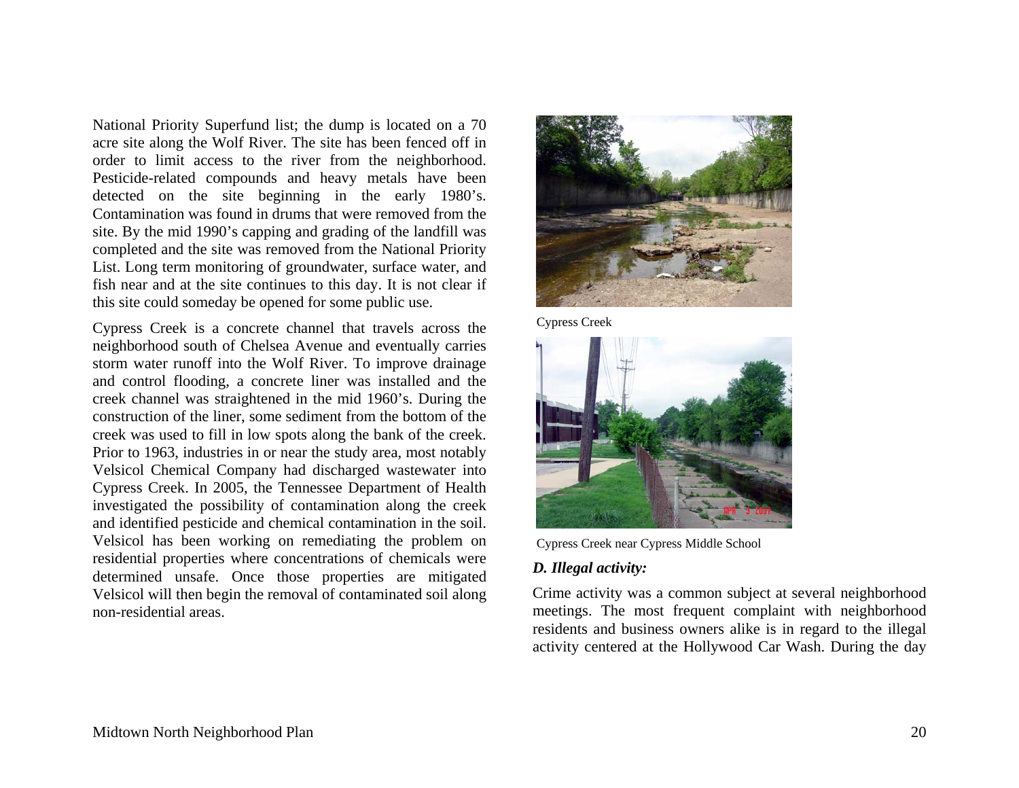National Priority Superfund list; the dump is located on a 70 acre site along the Wolf River. The site has been fenced off in order to limit access to the river from the neighborhood. Pesticide-related compounds and heavy metals have been detected on the site beginning in the early 1980's. Contamination was found in drums that were removed from the site. By the mid 1990's capping and grading of the landfill was completed and the site was removed from the National Priority List. Long term monitoring of groundwater, surface water, and fish near and at the site continues to this day. It is not clear if this site could someday be opened for some public use.

Cypress Creek is a concrete channel that travels across the neighborhood south of Chelsea Avenue and eventually carries storm water runoff into the Wolf River. To improve drainage and control flooding, a concrete liner was installed and the creek channel was straightened in the mid 1960's. During the construction of the liner, some sediment from the bottom of the creek was used to fill in low spots along the bank of the creek. Prior to 1963, industries in or near the study area, most notably Velsicol Chemical Company had discharged wastewater into Cypress Creek. In 2005, the Tennessee Department of Health investigated the possibility of contamination along the creek and identified pesticide and chemical contamination in the soil. Velsicol has been working on remediating the problem on residential properties where concentrations of chemicals were determined unsafe. Once those properties are mitigated Velsicol will then begin the removal of contaminated soil along non-residential areas.



Cypress Creek



Cypress Creek near Cypress Middle School

## *D. Illegal activity:*

Crime activity was a common subject at several neighborhood meetings. The most frequent complaint with neighborhood residents and business owners alike is in regard to the illegal activity centered at the Hollywood Car Wash. During the day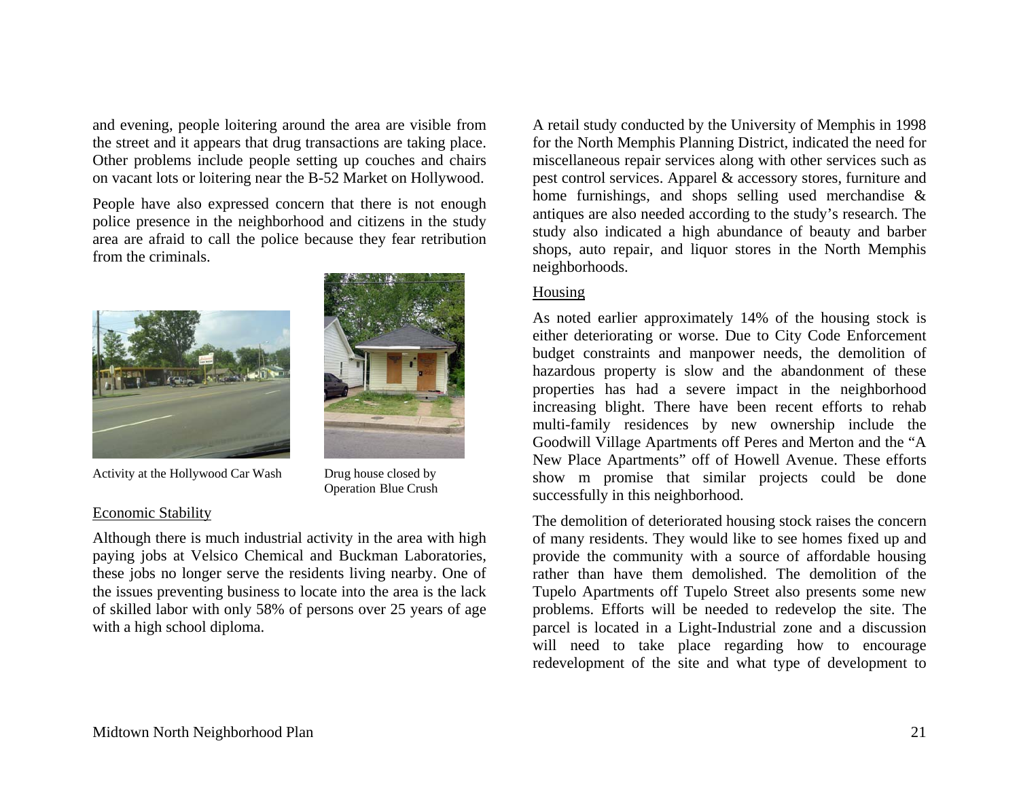and evening, people loitering around the area are visible from the street and it appears that drug transactions are taking place. Other problems include people setting up couches and chairs on vacant lots or loitering near the B-52 Market on Hollywood.

People have also expressed concern that there is not enough police presence in the neighborhood and citizens in the study area are afraid to call the police because they fear retribution from the criminals.



Activity at the Hollywood Car Wash Drug house closed by

#### Economic Stability

Although there is much industrial activity in the area with high paying jobs at Velsico Chemical and Buckman Laboratories, these jobs no longer serve the residents living nearby. One of the issues preventing business to locate into the area is the lack of skilled labor with only 58% of persons over 25 years of age with a high school diploma.

Operation Blue Crush

A retail study conducted by the University of Memphis in 1998 for the North Memphis Planning District, indicated the need for miscellaneous repair services along with other services such as pest control services. Apparel & accessory stores, furniture and home furnishings, and shops selling used merchandise & antiques are also needed according to the study's research. The study also indicated a high abundance of beauty and barber shops, auto repair, and liquor stores in the North Memphis neighborhoods.

### Housing

As noted earlier approximately 14% of the housing stock is either deteriorating or worse. Due to City Code Enforcement budget constraints and manpower needs, the demolition of hazardous property is slow and the abandonment of these properties has had a severe impact in the neighborhood increasing blight. There have been recent efforts to rehab multi-family residences by new ownership include the Goodwill Village Apartments off Peres and Merton and the "A New Place Apartments" off of Howell Avenue. These efforts show m promise that similar projects could be done successfully in this neighborhood.

The demolition of deteriorated housing stock raises the concern of many residents. They would like to see homes fixed up and provide the community with a source of affordable housing rather than have them demolished. The demolition of the Tupelo Apartments off Tupelo Street also presents some new problems. Efforts will be needed to redevelop the site. The parcel is located in a Light-Industrial zone and a discussion will need to take place regarding how to encourage redevelopment of the site and what type of development to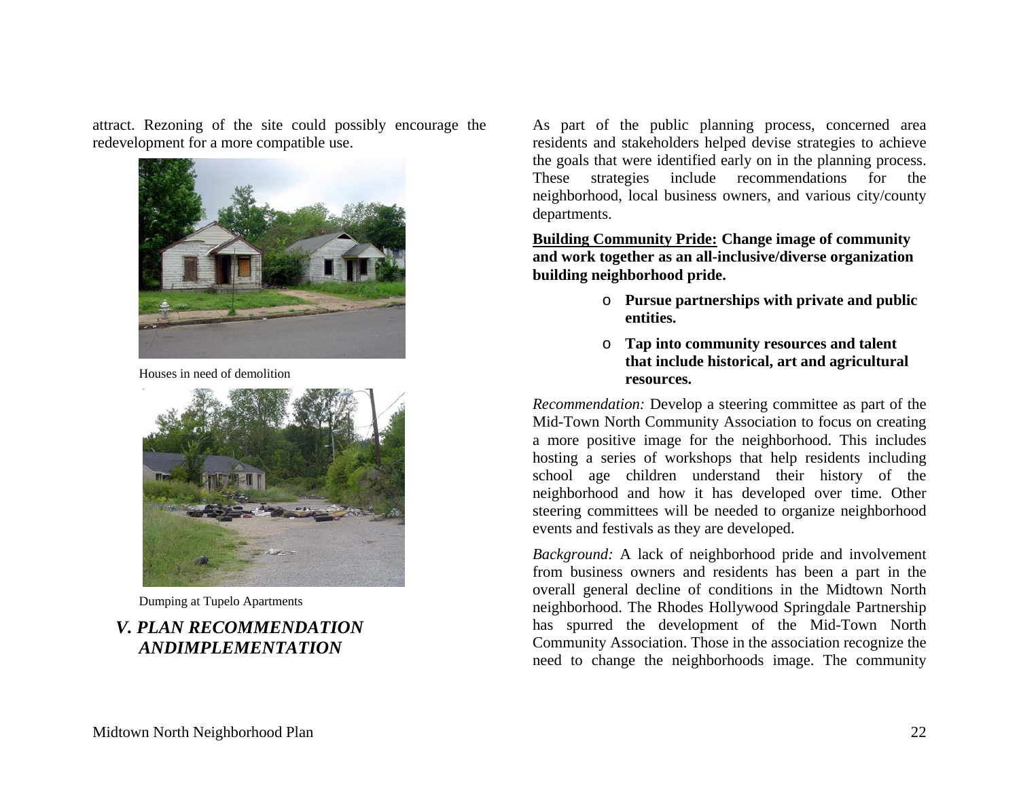attract. Rezoning of the site could possibly encourage the redevelopment for a more compatible use.



Houses in need of demolition



Dumping at Tupelo Apartments

# *V. PLAN RECOMMENDATION ANDIMPLEMENTATION*

As part of the public planning process, concerned area residents and stakeholders helped devise strategies to achieve the goals that were identified early on in the planning process. These strategies include recommendations for the neighborhood, local business owners, and various city/county departments.

**Building Community Pride: Change image of community and work together as an all-inclusive/diverse organization building neighborhood pride.** 

- o **Pursue partnerships with private and public entities.**
- o **Tap into community resources and talent that include historical, art and agricultural resources.**

*Recommendation:* Develop a steering committee as part of the Mid-Town North Community Association to focus on creating a more positive image for the neighborhood. This includes hosting a series of workshops that help residents including school age children understand their history of the neighborhood and how it has developed over time. Other steering committees will be needed to organize neighborhood events and festivals as they are developed.

*Background:* A lack of neighborhood pride and involvement from business owners and residents has been a part in the overall general decline of conditions in the Midtown North neighborhood. The Rhodes Hollywood Springdale Partnership has spurred the development of the Mid-Town North Community Association. Those in the association recognize the need to change the neighborhoods image. The community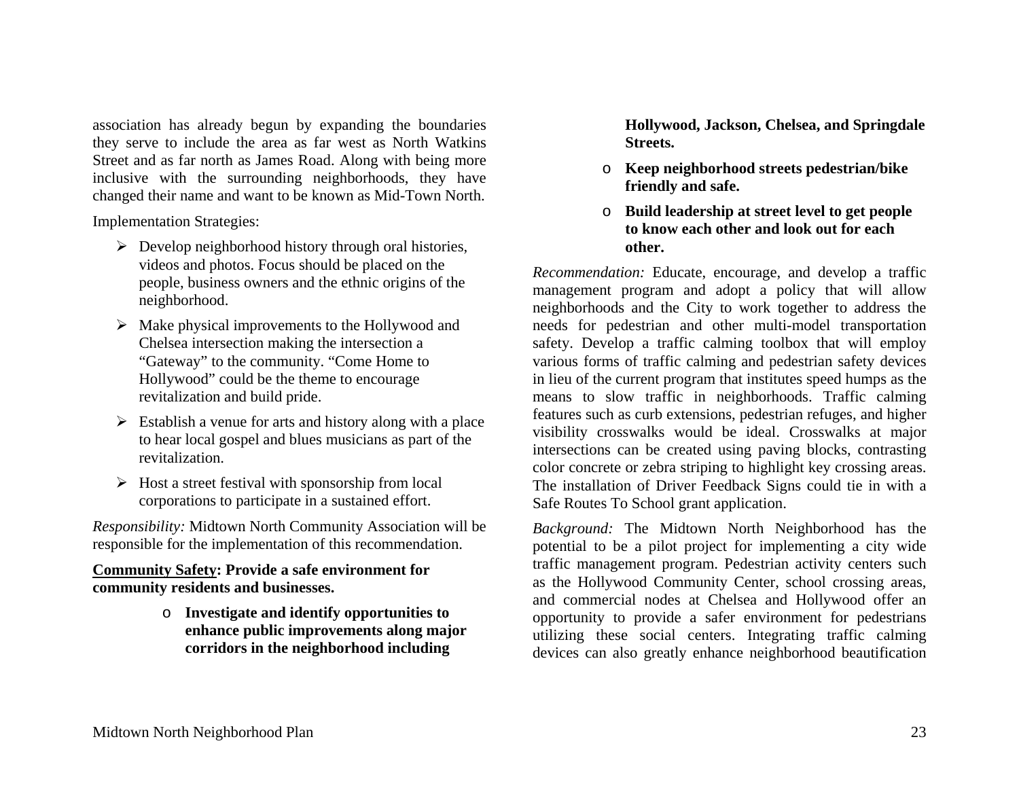association has already begun by expanding the boundaries they serve to include the area as far west as North Watkins Street and as far north as James Road. Along with being more inclusive with the surrounding neighborhoods, they have changed their name and want to be known as Mid-Town North.

Implementation Strategies:

- $\triangleright$  Develop neighborhood history through oral histories, videos and photos. Focus should be placed on the people, business owners and the ethnic origins of the neighborhood.
- $\triangleright$  Make physical improvements to the Hollywood and Chelsea intersection making the intersection a "Gateway" to the community. "Come Home to Hollywood" could be the theme to encourage revitalization and build pride.
- $\triangleright$  Establish a venue for arts and history along with a place to hear local gospel and blues musicians as part of the revitalization.
- $\triangleright$  Host a street festival with sponsorship from local corporations to participate in a sustained effort.

*Responsibility:* Midtown North Community Association will be responsible for the implementation of this recommendation.

### **Community Safety: Provide a safe environment for community residents and businesses.**

o **Investigate and identify opportunities to enhance public improvements along major corridors in the neighborhood including** 

**Hollywood, Jackson, Chelsea, and Springdale Streets.** 

- o **Keep neighborhood streets pedestrian/bike friendly and safe.**
- o **Build leadership at street level to get people to know each other and look out for each other.**

*Recommendation:* Educate, encourage, and develop a traffic management program and adopt a policy that will allow neighborhoods and the City to work together to address the needs for pedestrian and other multi-model transportation safety. Develop a traffic calming toolbox that will employ various forms of traffic calming and pedestrian safety devices in lieu of the current program that institutes speed humps as the means to slow traffic in neighborhoods. Traffic calming features such as curb extensions, pedestrian refuges, and higher visibility crosswalks would be ideal. Crosswalks at major intersections can be created using paving blocks, contrasting color concrete or zebra striping to highlight key crossing areas. The installation of Driver Feedback Signs could tie in with a Safe Routes To School grant application.

*Background:* The Midtown North Neighborhood has the potential to be a pilot project for implementing a city wide traffic management program. Pedestrian activity centers such as the Hollywood Community Center, school crossing areas, and commercial nodes at Chelsea and Hollywood offer an opportunity to provide a safer environment for pedestrians utilizing these social centers. Integrating traffic calming devices can also greatly enhance neighborhood beautification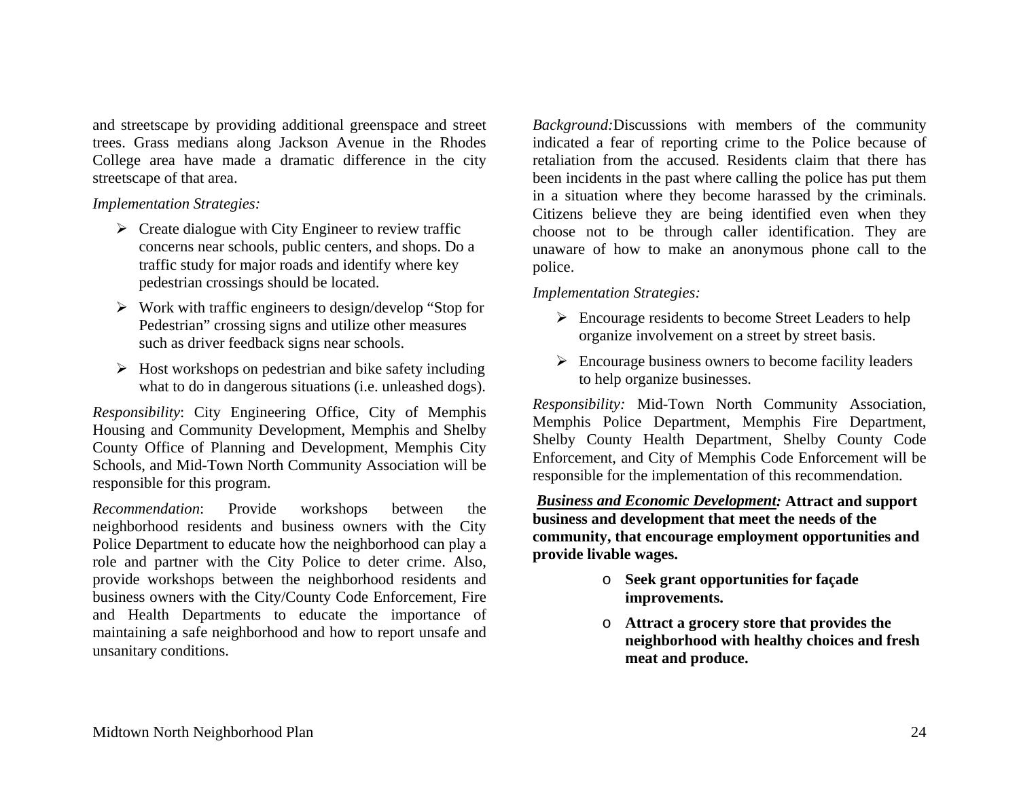and streetscape by providing additional greenspace and street trees. Grass medians along Jackson Avenue in the Rhodes College area have made a dramatic difference in the city streetscape of that area.

### *Implementation Strategies:*

- $\triangleright$  Create dialogue with City Engineer to review traffic concerns near schools, public centers, and shops. Do a traffic study for major roads and identify where key pedestrian crossings should be located.
- $\triangleright$  Work with traffic engineers to design/develop "Stop for Pedestrian" crossing signs and utilize other measures such as driver feedback signs near schools.
- $\triangleright$  Host workshops on pedestrian and bike safety including what to do in dangerous situations (i.e. unleashed dogs).

*Responsibility*: City Engineering Office, City of Memphis Housing and Community Development, Memphis and Shelby County Office of Planning and Development, Memphis City Schools, and Mid-Town North Community Association will be responsible for this program.

*Recommendation*: Provide workshops between the neighborhood residents and business owners with the City Police Department to educate how the neighborhood can play a role and partner with the City Police to deter crime. Also, provide workshops between the neighborhood residents and business owners with the City/County Code Enforcement, Fire and Health Departments to educate the importance of maintaining a safe neighborhood and how to report unsafe and unsanitary conditions.

*Background:*Discussions with members of the community indicated a fear of reporting crime to the Police because of retaliation from the accused. Residents claim that there has been incidents in the past where calling the police has put them in a situation where they become harassed by the criminals. Citizens believe they are being identified even when they choose not to be through caller identification. They are unaware of how to make an anonymous phone call to the police.

### *Implementation Strategies:*

- $\triangleright$  Encourage residents to become Street Leaders to help organize involvement on a street by street basis.
- $\triangleright$  Encourage business owners to become facility leaders to help organize businesses.

*Responsibility:* Mid-Town North Community Association, Memphis Police Department, Memphis Fire Department, Shelby County Health Department, Shelby County Code Enforcement, and City of Memphis Code Enforcement will be responsible for the implementation of this recommendation.

 *Business and Economic Development:* **Attract and support business and development that meet the needs of the community, that encourage employment opportunities and provide livable wages.** 

- o **Seek grant opportunities for façade improvements.**
- o **Attract a grocery store that provides the neighborhood with healthy choices and fresh meat and produce.**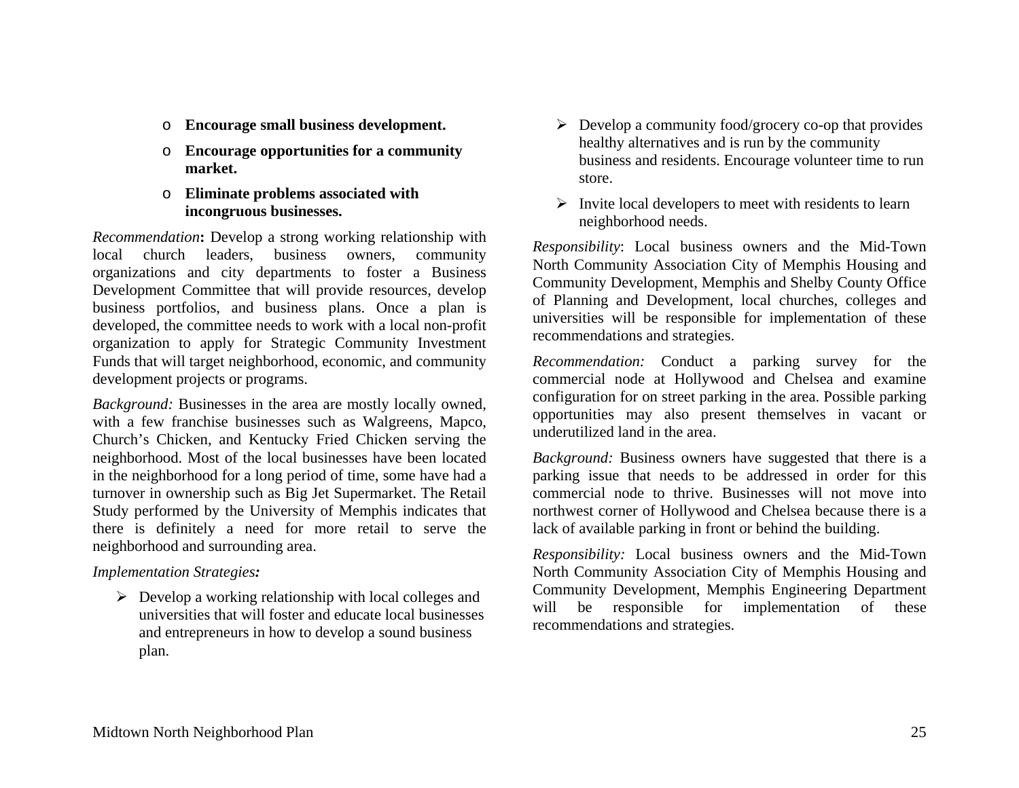- o **Encourage small business development.**
- o **Encourage opportunities for a community market.**
- o **Eliminate problems associated with incongruous businesses.**

*Recommendation***:** Develop a strong working relationship with local church leaders, business owners, community organizations and city departments to foster a Business Development Committee that will provide resources, develop business portfolios, and business plans. Once a plan is developed, the committee needs to work with a local non-profit organization to apply for Strategic Community Investment Funds that will target neighborhood, economic, and community development projects or programs.

*Background:* Businesses in the area are mostly locally owned, with a few franchise businesses such as Walgreens, Mapco, Church's Chicken, and Kentucky Fried Chicken serving the neighborhood. Most of the local businesses have been located in the neighborhood for a long period of time, some have had a turnover in ownership such as Big Jet Supermarket. The Retail Study performed by the University of Memphis indicates that there is definitely a need for more retail to serve the neighborhood and surrounding area.

### *Implementation Strategies:*

 $\triangleright$  Develop a working relationship with local colleges and universities that will foster and educate local businesses and entrepreneurs in how to develop a sound business plan.

- $\triangleright$  Develop a community food/grocery co-op that provides healthy alternatives and is run by the community business and residents. Encourage volunteer time to run store.
- $\triangleright$  Invite local developers to meet with residents to learn neighborhood needs.

*Responsibility*: Local business owners and the Mid-Town North Community Association City of Memphis Housing and Community Development, Memphis and Shelby County Office of Planning and Development, local churches, colleges and universities will be responsible for implementation of these recommendations and strategies.

*Recommendation:* Conduct a parking survey for the commercial node at Hollywood and Chelsea and examine configuration for on street parking in the area. Possible parking opportunities may also present themselves in vacant or underutilized land in the area.

*Background:* Business owners have suggested that there is a parking issue that needs to be addressed in order for this commercial node to thrive. Businesses will not move into northwest corner of Hollywood and Chelsea because there is a lack of available parking in front or behind the building.

*Responsibility:* Local business owners and the Mid-Town North Community Association City of Memphis Housing and Community Development, Memphis Engineering Department will be responsible for implementation of these recommendations and strategies.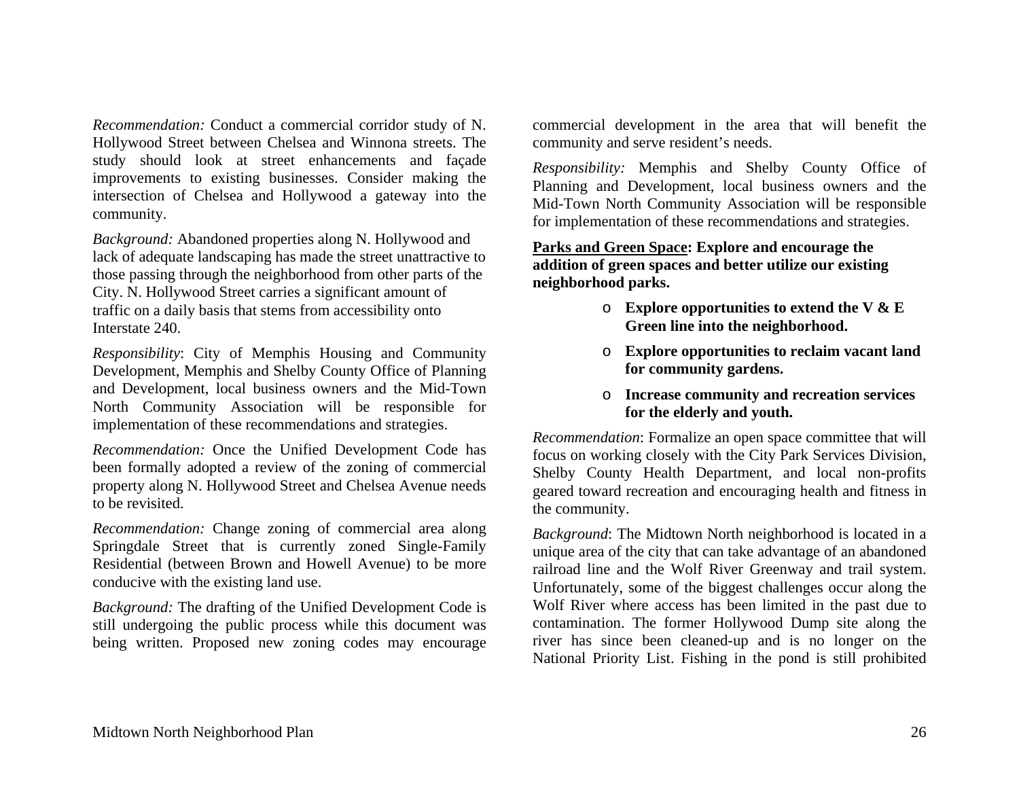*Recommendation:* Conduct a commercial corridor study of N. Hollywood Street between Chelsea and Winnona streets. The study should look at street enhancements and façade improvements to existing businesses. Consider making the intersection of Chelsea and Hollywood a gateway into the community.

*Background:* Abandoned properties along N. Hollywood and lack of adequate landscaping has made the street unattractive to those passing through the neighborhood from other parts of the City. N. Hollywood Street carries a significant amount of traffic on a daily basis that stems from accessibility onto Interstate 240.

*Responsibility*: City of Memphis Housing and Community Development, Memphis and Shelby County Office of Planning and Development, local business owners and the Mid-Town North Community Association will be responsible for implementation of these recommendations and strategies.

*Recommendation:* Once the Unified Development Code has been formally adopted a review of the zoning of commercial property along N. Hollywood Street and Chelsea Avenue needs to be revisited.

*Recommendation:* Change zoning of commercial area along Springdale Street that is currently zoned Single-Family Residential (between Brown and Howell Avenue) to be more conducive with the existing land use.

*Background:* The drafting of the Unified Development Code is still undergoing the public process while this document was being written. Proposed new zoning codes may encourage commercial development in the area that will benefit the community and serve resident's needs.

*Responsibility:* Memphis and Shelby County Office of Planning and Development, local business owners and the Mid-Town North Community Association will be responsible for implementation of these recommendations and strategies.

## **Parks and Green Space: Explore and encourage the addition of green spaces and better utilize our existing neighborhood parks.**

- o **Explore opportunities to extend the V & E Green line into the neighborhood.**
- o **Explore opportunities to reclaim vacant land for community gardens.**
- o **Increase community and recreation services for the elderly and youth.**

*Recommendation*: Formalize an open space committee that will focus on working closely with the City Park Services Division, Shelby County Health Department, and local non-profits geared toward recreation and encouraging health and fitness in the community.

*Background*: The Midtown North neighborhood is located in a unique area of the city that can take advantage of an abandoned railroad line and the Wolf River Greenway and trail system. Unfortunately, some of the biggest challenges occur along the Wolf River where access has been limited in the past due to contamination. The former Hollywood Dump site along the river has since been cleaned-up and is no longer on the National Priority List. Fishing in the pond is still prohibited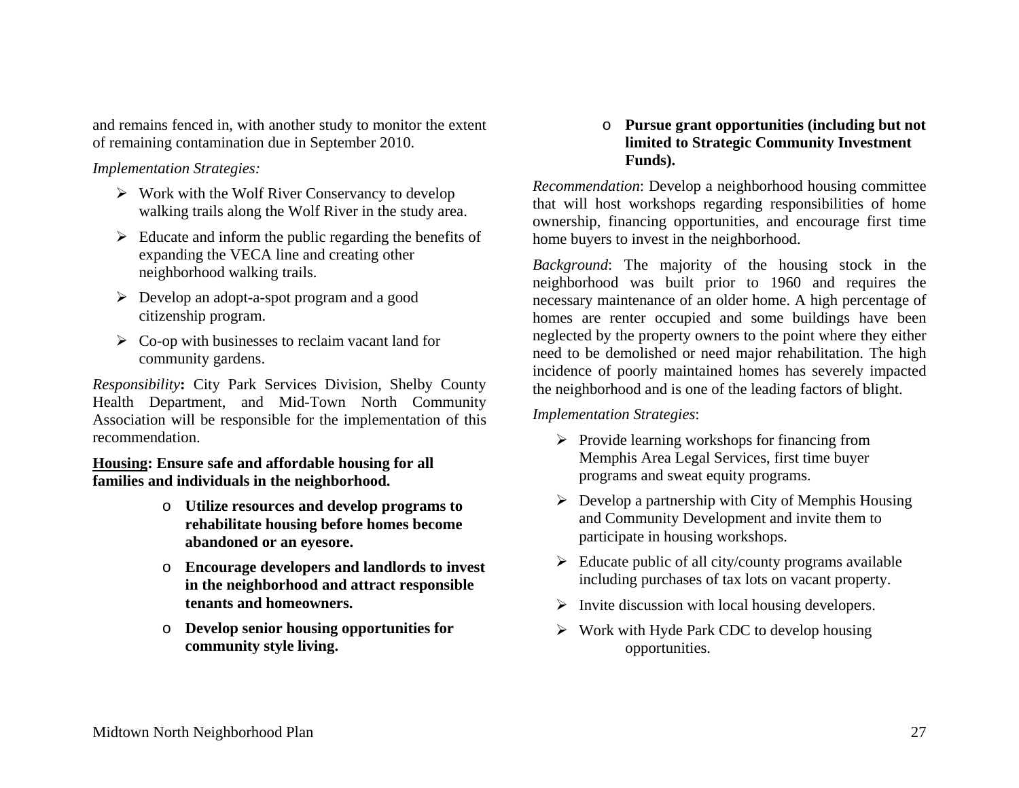and remains fenced in, with another study to monitor the extent of remaining contamination due in September 2010.

*Implementation Strategies:* 

- $\triangleright$  Work with the Wolf River Conservancy to develop walking trails along the Wolf River in the study area.
- $\triangleright$  Educate and inform the public regarding the benefits of expanding the VECA line and creating other neighborhood walking trails.
- $\triangleright$  Develop an adopt-a-spot program and a good citizenship program.
- $\triangleright$  Co-op with businesses to reclaim vacant land for community gardens.

*Responsibility***:** City Park Services Division, Shelby County Health Department, and Mid-Town North Community Association will be responsible for the implementation of this recommendation.

**Housing: Ensure safe and affordable housing for all families and individuals in the neighborhood.** 

- o **Utilize resources and develop programs to rehabilitate housing before homes become abandoned or an eyesore.**
- o **Encourage developers and landlords to invest in the neighborhood and attract responsible tenants and homeowners.**
- o **Develop senior housing opportunities for community style living.**

## o **Pursue grant opportunities (including but not limited to Strategic Community Investment Funds).**

*Recommendation*: Develop a neighborhood housing committee that will host workshops regarding responsibilities of home ownership, financing opportunities, and encourage first time home buyers to invest in the neighborhood.

*Background*: The majority of the housing stock in the neighborhood was built prior to 1960 and requires the necessary maintenance of an older home. A high percentage of homes are renter occupied and some buildings have been neglected by the property owners to the point where they either need to be demolished or need major rehabilitation. The high incidence of poorly maintained homes has severely impacted the neighborhood and is one of the leading factors of blight.

*Implementation Strategies*:

- $\triangleright$  Provide learning workshops for financing from Memphis Area Legal Services, first time buyer programs and sweat equity programs.
- $\triangleright$  Develop a partnership with City of Memphis Housing and Community Development and invite them to participate in housing workshops.
- $\triangleright$  Educate public of all city/county programs available including purchases of tax lots on vacant property.
- $\triangleright$  Invite discussion with local housing developers.
- $\triangleright$  Work with Hyde Park CDC to develop housing opportunities.